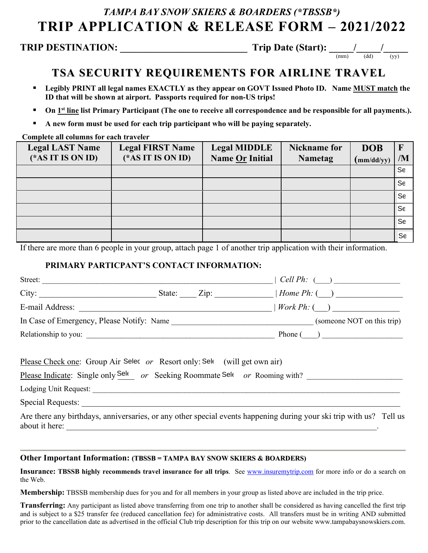# *TAMPA BAY SNOW SKIERS & BOARDERS (\*TBSSB\*)* **TRIP APPLICATION & RELEASE FORM – 2021/2022**

## **TRIP DESTINATION: \_\_\_\_\_\_\_\_\_\_\_\_\_\_\_\_\_\_\_\_\_\_\_\_\_\_ Trip Date (Start): \_\_\_\_\_/\_\_\_\_\_/\_\_\_\_\_**

(mm) (dd) (yy)

## **TSA SECURITY REQUIREMENTS FOR AIRLINE TRAVEL**

- **Legibly PRINT all legal names EXACTLY as they appear on GOVT Issued Photo ID. Name MUST match the ID that will be shown at airport. Passports required for non-US trips!**
- **On 1<sup>st</sup> line list Primary Participant (The one to receive all correspondence and be responsible for all payments.).**
- **A new form must be used for each trip participant who will be paying separately.**

### **Complete all columns for each traveler**

| <b>Legal LAST Name</b><br>(* $AS IT IS ON ID$ ) | <b>Legal FIRST Name</b><br>(* $AS IT IS ON ID$ ) | <b>Legal MIDDLE</b><br>Name Or Initial | <b>Nickname for</b><br><b>Nametag</b> | <b>DOB</b><br>(mm/dd/yy) | $\mathbf{F}$<br>/M   |
|-------------------------------------------------|--------------------------------------------------|----------------------------------------|---------------------------------------|--------------------------|----------------------|
|                                                 |                                                  |                                        |                                       |                          | $\mathsf{Se}$        |
|                                                 |                                                  |                                        |                                       |                          | Se                   |
|                                                 |                                                  |                                        |                                       |                          | Se                   |
|                                                 |                                                  |                                        |                                       |                          | $\mathsf{S}\epsilon$ |
|                                                 |                                                  |                                        |                                       |                          | Se                   |
|                                                 |                                                  |                                        |                                       |                          | Se                   |

If there are more than 6 people in your group, attach page 1 of another trip application with their information.

## **PRIMARY PARTICPANT'S CONTACT INFORMATION:**

| Street:                                                                   | $\mid$ Cell Ph: $\qquad)$                                                                                                                                                                                                                                                                                                                                                                            |
|---------------------------------------------------------------------------|------------------------------------------------------------------------------------------------------------------------------------------------------------------------------------------------------------------------------------------------------------------------------------------------------------------------------------------------------------------------------------------------------|
|                                                                           |                                                                                                                                                                                                                                                                                                                                                                                                      |
|                                                                           | E-mail Address: $\frac{1}{\sqrt{1-\frac{1}{2}}\sqrt{1-\frac{1}{2}}\sqrt{1-\frac{1}{2}}\sqrt{1-\frac{1}{2}}\sqrt{1-\frac{1}{2}}\sqrt{1-\frac{1}{2}}\sqrt{1-\frac{1}{2}}\sqrt{1-\frac{1}{2}}\sqrt{1-\frac{1}{2}}\sqrt{1-\frac{1}{2}}\sqrt{1-\frac{1}{2}}\sqrt{1-\frac{1}{2}}\sqrt{1-\frac{1}{2}}\sqrt{1-\frac{1}{2}}\sqrt{1-\frac{1}{2}}\sqrt{1-\frac{1}{2}}\sqrt{1-\frac{1}{2}}\sqrt{1-\frac{1}{2}}\$ |
|                                                                           |                                                                                                                                                                                                                                                                                                                                                                                                      |
| Relationship to you:                                                      | Phone $\begin{pmatrix} 1 & 1 \\ 1 & 1 \end{pmatrix}$                                                                                                                                                                                                                                                                                                                                                 |
| Please Check one: Group Air Selec or Resort only: Sele (will get own air) | Please Indicate: Single only Sel or Seeking Roommate Sel or Rooming with?                                                                                                                                                                                                                                                                                                                            |
|                                                                           |                                                                                                                                                                                                                                                                                                                                                                                                      |
| Special Requests:                                                         |                                                                                                                                                                                                                                                                                                                                                                                                      |
| about it here:                                                            | Are there any birthdays, anniversaries, or any other special events happening during your ski trip with us? Tell us                                                                                                                                                                                                                                                                                  |

### **Other Important Information: (TBSSB = TAMPA BAY SNOW SKIERS & BOARDERS)**

**Insurance: TBSSB highly recommends travel insurance for all trips**. See www.insuremytrip.com for more info or do a search on the Web.

**Membership:** TBSSB membership dues for you and for all members in your group as listed above are included in the trip price.

**Transferring:** Any participant as listed above transferring from one trip to another shall be considered as having cancelled the first trip and is subject to a \$25 transfer fee (reduced cancellation fee) for administrative costs. All transfers must be in writing AND submitted prior to the cancellation date as advertised in the official Club trip description for this trip on our website www.tampabaysnowskiers.com.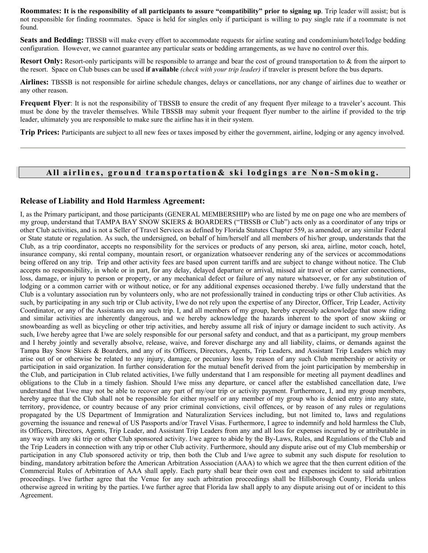**Roommates: It is the responsibility of all participants to assure "compatibility" prior to signing up**. Trip leader will assist; but is not responsible for finding roommates. Space is held for singles only if participant is willing to pay single rate if a roommate is not found.

**Seats and Bedding:** TBSSB will make every effort to accommodate requests for airline seating and condominium/hotel/lodge bedding configuration. However, we cannot guarantee any particular seats or bedding arrangements, as we have no control over this.

**Resort Only:** Resort-only participants will be responsible to arrange and bear the cost of ground transportation to & from the airport to the resort. Space on Club buses can be used **if available** *(check with your trip leader)* if traveler is present before the bus departs.

**Airlines:** TBSSB is not responsible for airline schedule changes, delays or cancellations, nor any change of airlines due to weather or any other reason.

**Frequent Flyer**: It is not the responsibility of TBSSB to ensure the credit of any frequent flyer mileage to a traveler's account. This must be done by the traveler themselves. While TBSSB may submit your frequent flyer number to the airline if provided to the trip leader, ultimately you are responsible to make sure the airline has it in their system.

**Trip Prices:** Participants are subject to all new fees or taxes imposed by either the government, airline, lodging or any agency involved.

### All airlines, ground transportation& ski lodgings are Non-Smoking.

#### **Release of Liability and Hold Harmless Agreement:**

I, as the Primary participant, and those participants (GENERAL MEMBERSHIP) who are listed by me on page one who are members of my group, understand that TAMPA BAY SNOW SKIERS & BOARDERS ("TBSSB or Club") acts only as a coordinator of any trips or other Club activities, and is not a Seller of Travel Services as defined by Florida Statutes Chapter 559, as amended, or any similar Federal or State statute or regulation. As such, the undersigned, on behalf of him/herself and all members of his/her group, understands that the Club, as a trip coordinator, accepts no responsibility for the services or products of any person, ski area, airline, motor coach, hotel, insurance company, ski rental company, mountain resort, or organization whatsoever rendering any of the services or accommodations being offered on any trip. Trip and other activity fees are based upon current tariffs and are subject to change without notice. The Club accepts no responsibility, in whole or in part, for any delay, delayed departure or arrival, missed air travel or other carrier connections, loss, damage, or injury to person or property, or any mechanical defect or failure of any nature whatsoever, or for any substitution of lodging or a common carrier with or without notice, or for any additional expenses occasioned thereby. I/we fully understand that the Club is a voluntary association run by volunteers only, who are not professionally trained in conducting trips or other Club activities. As such, by participating in any such trip or Club activity, I/we do not rely upon the expertise of any Director, Officer, Trip Leader, Activity Coordinator, or any of the Assistants on any such trip. I, and all members of my group, hereby expressly acknowledge that snow riding and similar activities are inherently dangerous, and we hereby acknowledge the hazards inherent to the sport of snow skiing or snowboarding as well as bicycling or other trip activities, and hereby assume all risk of injury or damage incident to such activity. As such, I/we hereby agree that I/we are solely responsible for our personal safety and conduct, and that as a participant, my group members and I hereby jointly and severally absolve, release, waive, and forever discharge any and all liability, claims, or demands against the Tampa Bay Snow Skiers & Boarders, and any of its Officers, Directors, Agents, Trip Leaders, and Assistant Trip Leaders which may arise out of or otherwise be related to any injury, damage, or pecuniary loss by reason of any such Club membership or activity or participation in said organization. In further consideration for the mutual benefit derived from the joint participation by membership in the Club, and participation in Club related activities, I/we fully understand that I am responsible for meeting all payment deadlines and obligations to the Club in a timely fashion. Should I/we miss any departure, or cancel after the established cancellation date, I/we understand that I/we may not be able to recover any part of my/our trip or activity payment. Furthermore, I, and my group members, hereby agree that the Club shall not be responsible for either myself or any member of my group who is denied entry into any state, territory, providence, or country because of any prior criminal convictions, civil offences, or by reason of any rules or regulations propagated by the US Department of Immigration and Naturalization Services including, but not limited to, laws and regulations governing the issuance and renewal of US Passports and/or Travel Visas. Furthermore, I agree to indemnify and hold harmless the Club, its Officers, Directors, Agents, Trip Leader, and Assistant Trip Leaders from any and all loss for expenses incurred by or attributable in any way with any ski trip or other Club sponsored activity. I/we agree to abide by the By-Laws, Rules, and Regulations of the Club and the Trip Leaders in connection with any trip or other Club activity. Furthermore, should any dispute arise out of my Club membership or participation in any Club sponsored activity or trip, then both the Club and I/we agree to submit any such dispute for resolution to binding, mandatory arbitration before the American Arbitration Association (AAA) to which we agree that the then current edition of the Commercial Rules of Arbitration of AAA shall apply. Each party shall bear their own cost and expenses incident to said arbitration proceedings. I/we further agree that the Venue for any such arbitration proceedings shall be Hillsborough County, Florida unless otherwise agreed in writing by the parties. I/we further agree that Florida law shall apply to any dispute arising out of or incident to this Agreement.